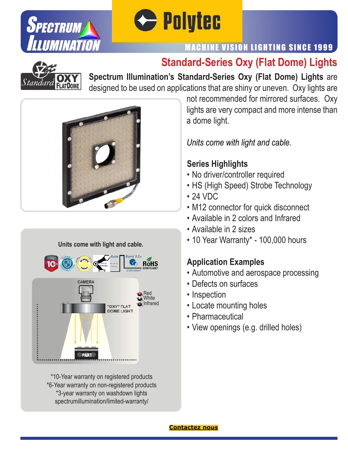



### MACHINE VISION LIGHTING SINCE 1999

## **Standard-Series Oxy (Flat Dome) Lights**



**Spectrum Illumination's Standard-Series Oxy (Flat Dome) Lights** are designed to be used on applications that are shiny or uneven. Oxy lights are



#### **Units come with light and cable.**



\*10-Year warranty on registered products \*6-Year warranty on non-registered products \*3-year warranty on washdown lights spectrumillumination/limited-warranty/

not recommended for mirrored surfaces. Oxy lights are very compact and more intense than a dome light.

*Units come with light and cable.*

#### **Series Highlights**

- No driver/controller required
- HS (High Speed) Strobe Technology
- 24 VDC
- M12 connector for quick disconnect
- Available in 2 colors and Infrared
- Available in 2 sizes
- 10 Year Warranty\* 100,000 hours

#### **Application Examples**

- Automotive and aerospace processing
- Defects on surfaces
- Inspection
- Locate mounting holes
- Pharmaceutical
- View openings (e.g. drilled holes)

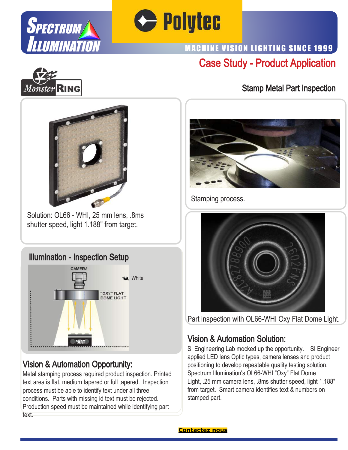



## Case Study - Product Application MACHINE VISION LIGHTING SINCE 1999



#### Stamp Metal Part Inspection



Solution: OL66 - WHI, 25 mm lens, .8ms shutter speed, light 1.188" from target.

### Illumination - Inspection Setup



## Vision & Automation Opportunity:

Metal stamping process required product inspection. Printed text area is flat, medium tapered or full tapered. Inspection process must be able to identify text under all three conditions. Parts with missing id text must be rejected. Production speed must be maintained while identifying part text.



Stamping process.



Part inspection with OL66-WHI Oxy Flat Dome Light.

#### Vision & Automation Solution:

SI Engineering Lab mocked up the opportunity. SI Engineer applied LED lens Optic types, camera lenses and product positioning to develop repeatable quality testing solution. Spectrum Illumination's OL66-WHI "Oxy" Flat Dome Light, .25 mm camera lens, .8ms shutter speed, light 1.188" from target. Smart camera identifies text & numbers on stamped part.